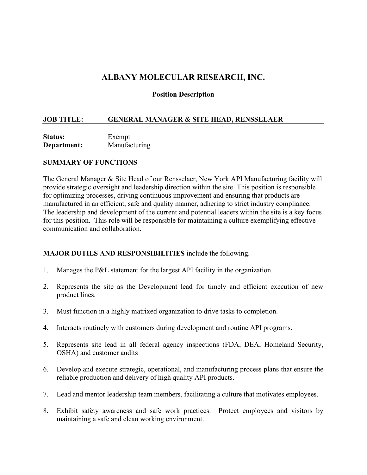# ALBANY MOLECULAR RESEARCH, INC.

#### Position Description

#### JOB TITLE: GENERAL MANAGER & SITE HEAD, RENSSELAER

| <b>Status:</b> | Exempt        |
|----------------|---------------|
| Department:    | Manufacturing |

#### SUMMARY OF FUNCTIONS

The General Manager & Site Head of our Rensselaer, New York API Manufacturing facility will provide strategic oversight and leadership direction within the site. This position is responsible for optimizing processes, driving continuous improvement and ensuring that products are manufactured in an efficient, safe and quality manner, adhering to strict industry compliance. The leadership and development of the current and potential leaders within the site is a key focus for this position. This role will be responsible for maintaining a culture exemplifying effective communication and collaboration.

#### MAJOR DUTIES AND RESPONSIBILITIES include the following.

- 1. Manages the P&L statement for the largest API facility in the organization.
- 2. Represents the site as the Development lead for timely and efficient execution of new product lines.
- 3. Must function in a highly matrixed organization to drive tasks to completion.
- 4. Interacts routinely with customers during development and routine API programs.
- 5. Represents site lead in all federal agency inspections (FDA, DEA, Homeland Security, OSHA) and customer audits
- 6. Develop and execute strategic, operational, and manufacturing process plans that ensure the reliable production and delivery of high quality API products.
- 7. Lead and mentor leadership team members, facilitating a culture that motivates employees.
- 8. Exhibit safety awareness and safe work practices. Protect employees and visitors by maintaining a safe and clean working environment.